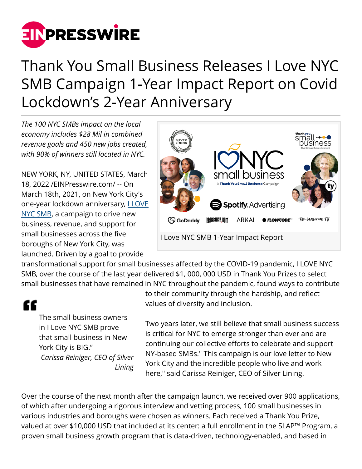

## Thank You Small Business Releases I Love NYC SMB Campaign 1-Year Impact Report on Covid Lockdown's 2-Year Anniversary

*The 100 NYC SMBs impact on the local economy includes \$28 Mil in combined revenue goals and 450 new jobs created, with 90% of winners still located in NYC.*

NEW YORK, NY, UNITED STATES, March 18, 2022 /[EINPresswire.com/](http://www.einpresswire.com) -- On March 18th, 2021, on New York City's one-year lockdown anniversary, *LLOVE* [NYC SMB](https://ilovesmallbiz.nyc/), a campaign to drive new business, revenue, and support for small businesses across the five boroughs of New York City, was launched. Driven by a goal to provide



transformational support for small businesses affected by the COVID-19 pandemic, I LOVE NYC SMB, over the course of the last year delivered \$1, 000, 000 USD in Thank You Prizes to select small businesses that have remained in NYC throughout the pandemic, found ways to contribute

## "

The small business owners in I Love NYC SMB prove that small business in New York City is BIG." *Carissa Reiniger, CEO of Silver Lining*

to their community through the hardship, and reflect values of diversity and inclusion.

Two years later, we still believe that small business success is critical for NYC to emerge stronger than ever and are continuing our collective efforts to celebrate and support NY-based SMBs." This campaign is our love letter to New York City and the incredible people who live and work here," said Carissa Reiniger, CEO of Silver Lining.

Over the course of the next month after the campaign launch, we received over 900 applications, of which after undergoing a rigorous interview and vetting process, 100 small businesses in various industries and boroughs were chosen as winners. Each received a Thank You Prize, valued at over \$10,000 USD that included at its center: a full enrollment in the SLAP™ Program, a proven small business growth program that is data-driven, technology-enabled, and based in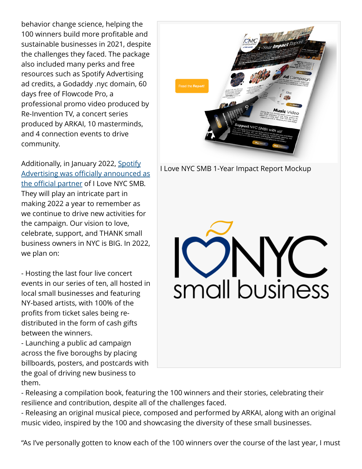behavior change science, helping the 100 winners build more profitable and sustainable businesses in 2021, despite the challenges they faced. The package also included many perks and free resources such as Spotify Advertising ad credits, a Godaddy .nyc domain, 60 days free of Flowcode Pro, a professional promo video produced by Re-Invention TV, a concert series produced by ARKAI, 10 masterminds, and 4 connection events to drive community.

Additionally, in January 2022, [Spotify](https://www.google.com/url?q=https://www.einpresswire.com/article/560367570/spotify-advertising-silver-lining-announce-multi-faceted-partnership-to-celebrate-support-small-businesses-globally&sa=D&source=docs&ust=1647621491639106&usg=AOvVaw1Ge0kAAn8N2fQzVi_NZaFb) [Advertising was officially announced as](https://www.google.com/url?q=https://www.einpresswire.com/article/560367570/spotify-advertising-silver-lining-announce-multi-faceted-partnership-to-celebrate-support-small-businesses-globally&sa=D&source=docs&ust=1647621491639106&usg=AOvVaw1Ge0kAAn8N2fQzVi_NZaFb) [the official partner](https://www.google.com/url?q=https://www.einpresswire.com/article/560367570/spotify-advertising-silver-lining-announce-multi-faceted-partnership-to-celebrate-support-small-businesses-globally&sa=D&source=docs&ust=1647621491639106&usg=AOvVaw1Ge0kAAn8N2fQzVi_NZaFb) of I Love NYC SMB. They will play an intricate part in making 2022 a year to remember as we continue to drive new activities for the campaign. Our vision to love, celebrate, support, and THANK small business owners in NYC is BIG. In 2022, we plan on:

- Hosting the last four live concert events in our series of ten, all hosted in local small businesses and featuring NY-based artists, with 100% of the profits from ticket sales being redistributed in the form of cash gifts between the winners.

- Launching a public ad campaign across the five boroughs by placing billboards, posters, and postcards with the goal of driving new business to them.

I Love NYC SMB 1-Year Impact Report Mockup



- Releasing a compilation book, featuring the 100 winners and their stories, celebrating their resilience and contribution, despite all of the challenges faced.

- Releasing an original musical piece, composed and performed by ARKAI, along with an original music video, inspired by the 100 and showcasing the diversity of these small businesses.

"As I've personally gotten to know each of the 100 winners over the course of the last year, I must